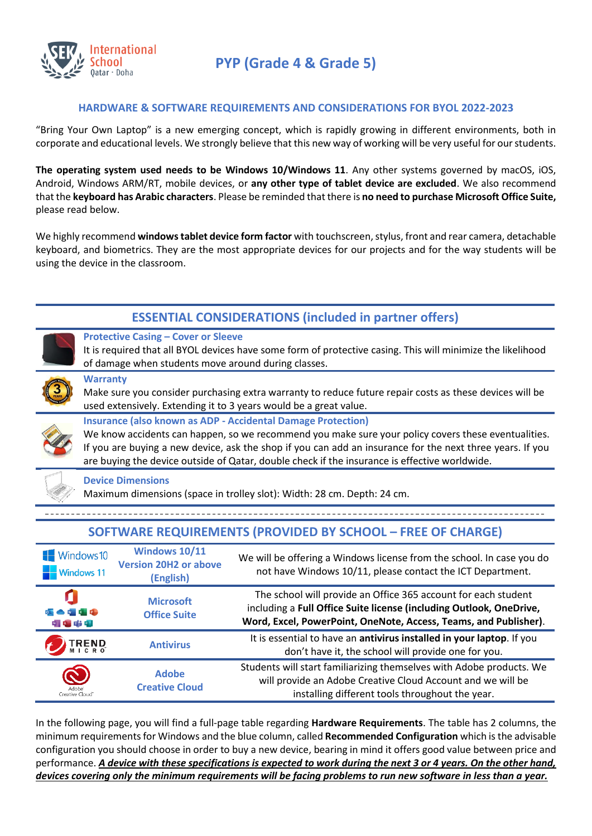

## **HARDWARE & SOFTWARE REQUIREMENTS AND CONSIDERATIONS FOR BYOL 2022-2023**

"Bring Your Own Laptop" is a new emerging concept, which is rapidly growing in different environments, both in corporate and educational levels. We strongly believe that this new way of working will be very useful for our students.

**The operating system used needs to be Windows 10/Windows 11**. Any other systems governed by macOS, iOS, Android, Windows ARM/RT, mobile devices, or **any other type of tablet device are excluded**. We also recommend that the **keyboard has Arabic characters**. Please be reminded that there is **no need to purchase Microsoft Office Suite,** please read below.

We highly recommend **windows tablet device form factor** with touchscreen, stylus, front and rear camera, detachable keyboard, and biometrics. They are the most appropriate devices for our projects and for the way students will be using the device in the classroom.

|                                                                                                                                                                                                                                                                                                                                                                                          |                                                                                                                                                                                                                  |                                                                   | <b>ESSENTIAL CONSIDERATIONS (included in partner offers)</b>                                                                                                                                              |  |  |  |
|------------------------------------------------------------------------------------------------------------------------------------------------------------------------------------------------------------------------------------------------------------------------------------------------------------------------------------------------------------------------------------------|------------------------------------------------------------------------------------------------------------------------------------------------------------------------------------------------------------------|-------------------------------------------------------------------|-----------------------------------------------------------------------------------------------------------------------------------------------------------------------------------------------------------|--|--|--|
|                                                                                                                                                                                                                                                                                                                                                                                          | <b>Protective Casing - Cover or Sleeve</b><br>It is required that all BYOL devices have some form of protective casing. This will minimize the likelihood<br>of damage when students move around during classes. |                                                                   |                                                                                                                                                                                                           |  |  |  |
|                                                                                                                                                                                                                                                                                                                                                                                          | <b>Warranty</b><br>Make sure you consider purchasing extra warranty to reduce future repair costs as these devices will be<br>used extensively. Extending it to 3 years would be a great value.                  |                                                                   |                                                                                                                                                                                                           |  |  |  |
| <b>Insurance (also known as ADP - Accidental Damage Protection)</b><br>We know accidents can happen, so we recommend you make sure your policy covers these eventualities.<br>If you are buying a new device, ask the shop if you can add an insurance for the next three years. If you<br>are buying the device outside of Qatar, double check if the insurance is effective worldwide. |                                                                                                                                                                                                                  |                                                                   |                                                                                                                                                                                                           |  |  |  |
| <b>Device Dimensions</b><br>Maximum dimensions (space in trolley slot): Width: 28 cm. Depth: 24 cm.                                                                                                                                                                                                                                                                                      |                                                                                                                                                                                                                  |                                                                   |                                                                                                                                                                                                           |  |  |  |
|                                                                                                                                                                                                                                                                                                                                                                                          |                                                                                                                                                                                                                  |                                                                   |                                                                                                                                                                                                           |  |  |  |
| <b>SOFTWARE REQUIREMENTS (PROVIDED BY SCHOOL - FREE OF CHARGE)</b>                                                                                                                                                                                                                                                                                                                       |                                                                                                                                                                                                                  |                                                                   |                                                                                                                                                                                                           |  |  |  |
| $\blacksquare$ Windows 10                                                                                                                                                                                                                                                                                                                                                                | <b>Windows 11</b>                                                                                                                                                                                                | <b>Windows 10/11</b><br><b>Version 20H2 or above</b><br>(English) | We will be offering a Windows license from the school. In case you do<br>not have Windows 10/11, please contact the ICT Department.                                                                       |  |  |  |
| A THE                                                                                                                                                                                                                                                                                                                                                                                    |                                                                                                                                                                                                                  | <b>Microsoft</b><br><b>Office Suite</b>                           | The school will provide an Office 365 account for each student<br>including a Full Office Suite license (including Outlook, OneDrive,<br>Word, Excel, PowerPoint, OneNote, Access, Teams, and Publisher). |  |  |  |
|                                                                                                                                                                                                                                                                                                                                                                                          | <b>REND</b>                                                                                                                                                                                                      | <b>Antivirus</b>                                                  | It is essential to have an antivirus installed in your laptop. If you<br>don't have it, the school will provide one for you.                                                                              |  |  |  |
|                                                                                                                                                                                                                                                                                                                                                                                          |                                                                                                                                                                                                                  | <b>Adobe</b><br><b>Creative Cloud</b>                             | Students will start familiarizing themselves with Adobe products. We<br>will provide an Adobe Creative Cloud Account and we will be<br>installing different tools throughout the year.                    |  |  |  |
|                                                                                                                                                                                                                                                                                                                                                                                          |                                                                                                                                                                                                                  |                                                                   |                                                                                                                                                                                                           |  |  |  |

In the following page, you will find a full-page table regarding **Hardware Requirements**. The table has 2 columns, the minimum requirements for Windows and the blue column, called **Recommended Configuration** which is the advisable configuration you should choose in order to buy a new device, bearing in mind it offers good value between price and performance. *A device with these specifications is expected to work during the next 3 or 4 years. On the other hand, devices covering only the minimum requirements will be facing problems to run new software in less than a year.*